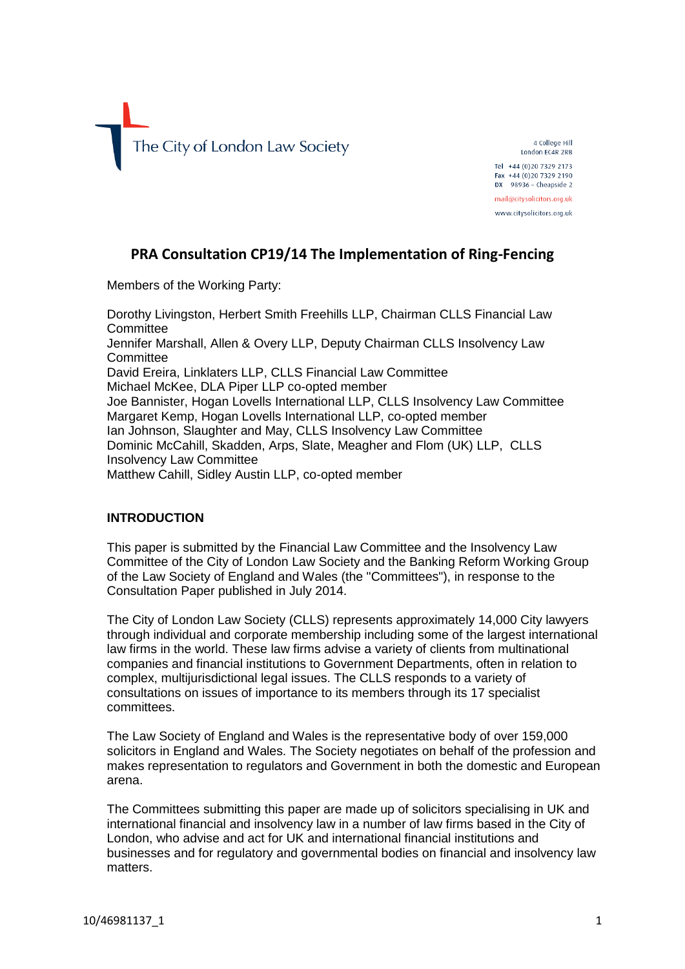

4 College Hill London EC4R 2RB Tel +44 (0) 20 7329 2173 Fax +44 (0) 20 7329 2190 **DX** 98936 - Cheapside 2 mail@citysolicitors.org.uk www.citysolicitors.org.uk

# **PRA Consultation CP19/14 The Implementation of Ring-Fencing**

Members of the Working Party:

Dorothy Livingston, Herbert Smith Freehills LLP, Chairman CLLS Financial Law **Committee** Jennifer Marshall, Allen & Overy LLP, Deputy Chairman CLLS Insolvency Law **Committee** David Ereira, Linklaters LLP, CLLS Financial Law Committee Michael McKee, DLA Piper LLP co-opted member Joe Bannister, Hogan Lovells International LLP, CLLS Insolvency Law Committee Margaret Kemp, Hogan Lovells International LLP, co-opted member Ian Johnson, Slaughter and May, CLLS Insolvency Law Committee Dominic McCahill, Skadden, Arps, Slate, Meagher and Flom (UK) LLP, CLLS Insolvency Law Committee Matthew Cahill, Sidley Austin LLP, co-opted member

#### **INTRODUCTION**

This paper is submitted by the Financial Law Committee and the Insolvency Law Committee of the City of London Law Society and the Banking Reform Working Group of the Law Society of England and Wales (the "Committees"), in response to the Consultation Paper published in July 2014.

The City of London Law Society (CLLS) represents approximately 14,000 City lawyers through individual and corporate membership including some of the largest international law firms in the world. These law firms advise a variety of clients from multinational companies and financial institutions to Government Departments, often in relation to complex, multijurisdictional legal issues. The CLLS responds to a variety of consultations on issues of importance to its members through its 17 specialist committees.

The Law Society of England and Wales is the representative body of over 159,000 solicitors in England and Wales. The Society negotiates on behalf of the profession and makes representation to regulators and Government in both the domestic and European arena.

The Committees submitting this paper are made up of solicitors specialising in UK and international financial and insolvency law in a number of law firms based in the City of London, who advise and act for UK and international financial institutions and businesses and for regulatory and governmental bodies on financial and insolvency law matters.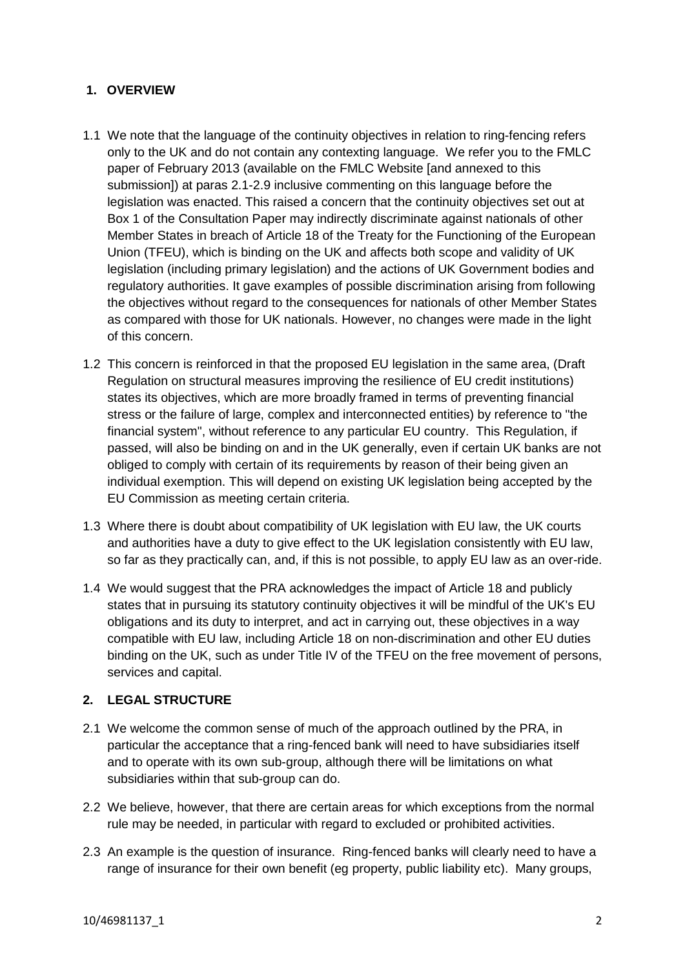### **1. OVERVIEW**

- 1.1 We note that the language of the continuity objectives in relation to ring-fencing refers only to the UK and do not contain any contexting language. We refer you to the FMLC paper of February 2013 (available on the FMLC Website [and annexed to this submission]) at paras 2.1-2.9 inclusive commenting on this language before the legislation was enacted. This raised a concern that the continuity objectives set out at Box 1 of the Consultation Paper may indirectly discriminate against nationals of other Member States in breach of Article 18 of the Treaty for the Functioning of the European Union (TFEU), which is binding on the UK and affects both scope and validity of UK legislation (including primary legislation) and the actions of UK Government bodies and regulatory authorities. It gave examples of possible discrimination arising from following the objectives without regard to the consequences for nationals of other Member States as compared with those for UK nationals. However, no changes were made in the light of this concern.
- 1.2 This concern is reinforced in that the proposed EU legislation in the same area, (Draft Regulation on structural measures improving the resilience of EU credit institutions) states its objectives, which are more broadly framed in terms of preventing financial stress or the failure of large, complex and interconnected entities) by reference to "the financial system", without reference to any particular EU country. This Regulation, if passed, will also be binding on and in the UK generally, even if certain UK banks are not obliged to comply with certain of its requirements by reason of their being given an individual exemption. This will depend on existing UK legislation being accepted by the EU Commission as meeting certain criteria.
- 1.3 Where there is doubt about compatibility of UK legislation with EU law, the UK courts and authorities have a duty to give effect to the UK legislation consistently with EU law, so far as they practically can, and, if this is not possible, to apply EU law as an over-ride.
- 1.4 We would suggest that the PRA acknowledges the impact of Article 18 and publicly states that in pursuing its statutory continuity objectives it will be mindful of the UK's EU obligations and its duty to interpret, and act in carrying out, these objectives in a way compatible with EU law, including Article 18 on non-discrimination and other EU duties binding on the UK, such as under Title IV of the TFEU on the free movement of persons, services and capital.

### **2. LEGAL STRUCTURE**

- 2.1 We welcome the common sense of much of the approach outlined by the PRA, in particular the acceptance that a ring-fenced bank will need to have subsidiaries itself and to operate with its own sub-group, although there will be limitations on what subsidiaries within that sub-group can do.
- 2.2 We believe, however, that there are certain areas for which exceptions from the normal rule may be needed, in particular with regard to excluded or prohibited activities.
- 2.3 An example is the question of insurance. Ring-fenced banks will clearly need to have a range of insurance for their own benefit (eg property, public liability etc). Many groups,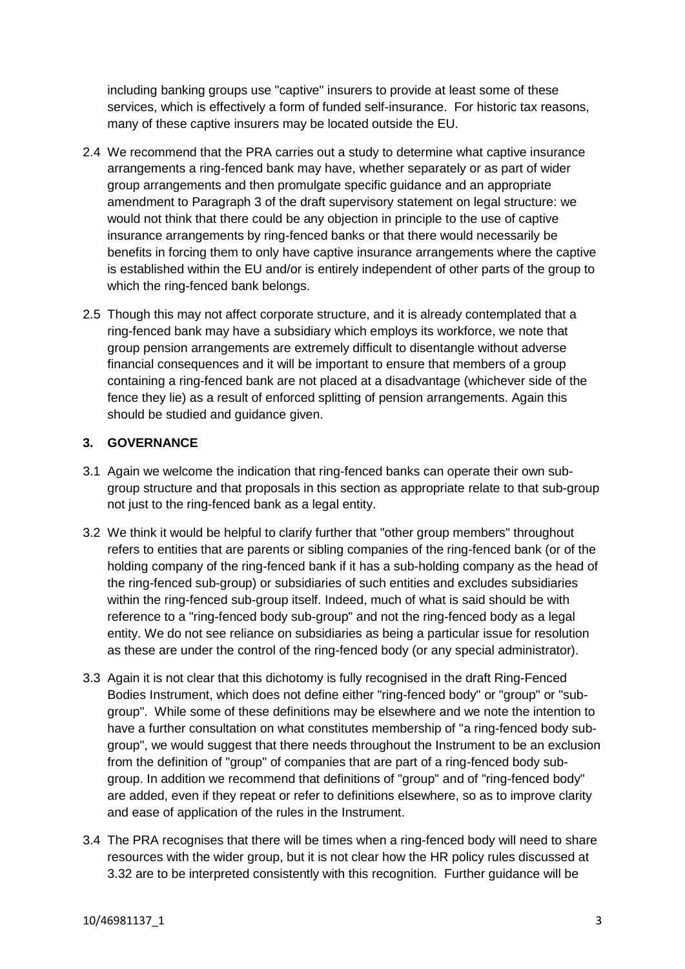including banking groups use "captive" insurers to provide at least some of these services, which is effectively a form of funded self-insurance. For historic tax reasons, many of these captive insurers may be located outside the EU.

- 2.4 We recommend that the PRA carries out a study to determine what captive insurance arrangements a ring-fenced bank may have, whether separately or as part of wider group arrangements and then promulgate specific guidance and an appropriate amendment to Paragraph 3 of the draft supervisory statement on legal structure: we would not think that there could be any objection in principle to the use of captive insurance arrangements by ring-fenced banks or that there would necessarily be benefits in forcing them to only have captive insurance arrangements where the captive is established within the EU and/or is entirely independent of other parts of the group to which the ring-fenced bank belongs.
- 2.5 Though this may not affect corporate structure, and it is already contemplated that a ring-fenced bank may have a subsidiary which employs its workforce, we note that group pension arrangements are extremely difficult to disentangle without adverse financial consequences and it will be important to ensure that members of a group containing a ring-fenced bank are not placed at a disadvantage (whichever side of the fence they lie) as a result of enforced splitting of pension arrangements. Again this should be studied and guidance given.

### **3. GOVERNANCE**

- 3.1 Again we welcome the indication that ring-fenced banks can operate their own subgroup structure and that proposals in this section as appropriate relate to that sub-group not just to the ring-fenced bank as a legal entity.
- 3.2 We think it would be helpful to clarify further that "other group members" throughout refers to entities that are parents or sibling companies of the ring-fenced bank (or of the holding company of the ring-fenced bank if it has a sub-holding company as the head of the ring-fenced sub-group) or subsidiaries of such entities and excludes subsidiaries within the ring-fenced sub-group itself. Indeed, much of what is said should be with reference to a "ring-fenced body sub-group" and not the ring-fenced body as a legal entity. We do not see reliance on subsidiaries as being a particular issue for resolution as these are under the control of the ring-fenced body (or any special administrator).
- 3.3 Again it is not clear that this dichotomy is fully recognised in the draft Ring-Fenced Bodies Instrument, which does not define either "ring-fenced body" or "group" or "subgroup". While some of these definitions may be elsewhere and we note the intention to have a further consultation on what constitutes membership of "a ring-fenced body subgroup", we would suggest that there needs throughout the Instrument to be an exclusion from the definition of "group" of companies that are part of a ring-fenced body subgroup. In addition we recommend that definitions of "group" and of "ring-fenced body" are added, even if they repeat or refer to definitions elsewhere, so as to improve clarity and ease of application of the rules in the Instrument.
- 3.4 The PRA recognises that there will be times when a ring-fenced body will need to share resources with the wider group, but it is not clear how the HR policy rules discussed at 3.32 are to be interpreted consistently with this recognition. Further guidance will be